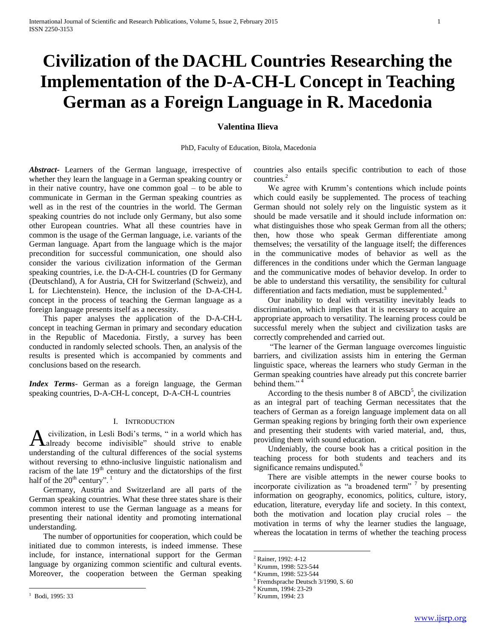# **Civilization of the DACHL Countries Researching the Implementation of the D-A-CH-L Concept in Teaching German as a Foreign Language in R. Macedonia**

## **Valentina Ilieva**

PhD, Faculty of Education, Bitola, Macedonia

*Abstract***-** Learners of the German language, irrespective of whether they learn the language in a German speaking country or in their native country, have one common goal – to be able to communicate in German in the German speaking countries as well as in the rest of the countries in the world. The German speaking countries do not include only Germany, but also some other European countries. What all these countries have in common is the usage of the German language, i.e. variants of the German language. Apart from the language which is the major precondition for successful communication, one should also consider the various civilization information of the German speaking countries, i.e. the D-A-CH-L countries (D for Germany (Deutschland), A for Austria, CH for Switzerland (Schweiz), and L for Liechtenstein). Hence, the inclusion of the D-A-CH-L concept in the process of teaching the German language as a foreign language presents itself as a necessity.

 This paper analyses the application of the D-A-CH-L concept in teaching German in primary and secondary education in the Republic of Macedonia. Firstly, a survey has been conducted in randomly selected schools. Then, an analysis of the results is presented which is accompanied by comments and conclusions based on the research.

*Index Terms*- German as a foreign language, the German speaking countries, D-A-CH-L concept, D-A-CH-L countries

### I. INTRODUCTION

civilization, in Lesli Bodi's terms, " in a world which has A civilization, in Lesli Bodi's terms, " in a world which has already become indivisible" should strive to enable understanding of the cultural differences of the social systems without reversing to ethno-inclusive linguistic nationalism and racism of the late  $19<sup>th</sup>$  century and the dictatorships of the first half of the  $20^{th}$  century".<sup>1</sup>

 Germany, Austria and Switzerland are all parts of the German speaking countries. What these three states share is their common interest to use the German language as a means for presenting their national identity and promoting international understanding.

 The number of opportunities for cooperation, which could be initiated due to common interests, is indeed immense. These include, for instance, international support for the German language by organizing common scientific and cultural events. Moreover, the cooperation between the German speaking

 $\overline{a}$ 

countries also entails specific contribution to each of those countries.<sup>2</sup>

 We agree with Krumm's contentions which include points which could easily be supplemented. The process of teaching German should not solely rely on the linguistic system as it should be made versatile and it should include information on: what distinguishes those who speak German from all the others; then, how those who speak German differentiate among themselves; the versatility of the language itself; the differences in the communicative modes of behavior as well as the differences in the conditions under which the German language and the communicative modes of behavior develop. In order to be able to understand this versatility, the sensibility for cultural differentiation and facts mediation, must be supplemented. $3$ 

 Our inability to deal with versatility inevitably leads to discrimination, which implies that it is necessary to acquire an appropriate approach to versatility. The learning process could be successful merely when the subject and civilization tasks are correctly comprehended and carried out.

 "The learner of the German language overcomes linguistic barriers, and civilization assists him in entering the German linguistic space, whereas the learners who study German in the German speaking countries have already put this concrete barrier behind them."<sup>4</sup>

According to the thesis number 8 of  $ABCD<sup>5</sup>$ , the civilization as an integral part of teaching German necessitates that the teachers of German as a foreign language implement data on all German speaking regions by bringing forth their own experience and presenting their students with varied material, and, thus, providing them with sound education.

 Undeniably, the course book has a critical position in the teaching process for both students and teachers and its significance remains undisputed.<sup>6</sup>

 There are visible attempts in the newer course books to incorporate civilization as "a broadened term"  $7$  by presenting information on geography, economics, politics, culture, istory, education, literature, everyday life and society. In this context, both the motivation and location play crucial roles – the motivation in terms of why the learner studies the language, whereas the locatation in terms of whether the teaching process

 $\overline{a}$ 

 $1$  Bodi, 1995: 33

<sup>2</sup> Rainer, 1992: 4-12

<sup>3</sup> Krumm, 1998: 523-544

<sup>4</sup> Krumm, 1998: 523-544

<sup>5</sup> Fremdsprache Deutsch 3/1990, S. 60

<sup>6</sup> Krumm, 1994: 23-29

<sup>7</sup> Krumm, 1994: 23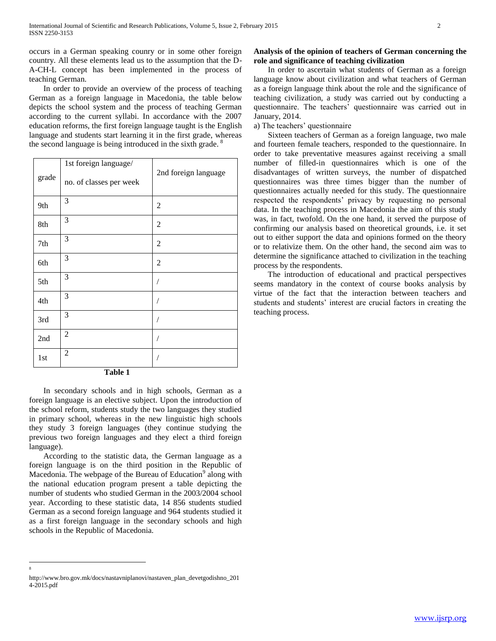occurs in a German speaking counry or in some other foreign country. All these elements lead us to the assumption that the D-A-CH-L concept has been implemented in the process of teaching German.

 In order to provide an overview of the process of teaching German as a foreign language in Macedonia, the table below depicts the school system and the process of teaching German according to the current syllabi. In accordance with the 2007 education reforms, the first foreign language taught is the English language and students start learning it in the first grade, whereas the second language is being introduced in the sixth grade.<sup>8</sup>

| grade | 1st foreign language/<br>no. of classes per week | 2nd foreign language |
|-------|--------------------------------------------------|----------------------|
| 9th   | 3                                                | $\overline{2}$       |
| 8th   | 3                                                | $\overline{c}$       |
| 7th   | 3                                                | $\overline{c}$       |
| 6th   | 3                                                | $\overline{c}$       |
| 5th   | 3                                                |                      |
| 4th   | 3                                                |                      |
| 3rd   | 3                                                |                      |
| 2nd   | $\overline{2}$                                   |                      |
| 1st   | $\overline{2}$                                   |                      |

**Table 1**

 In secondary schools and in high schools, German as a foreign language is an elective subject. Upon the introduction of the school reform, students study the two languages they studied in primary school, whereas in the new linguistic high schools they study 3 foreign languages (they continue studying the previous two foreign languages and they elect a third foreign language).

 According to the statistic data, the German language as a foreign language is on the third position in the Republic of Macedonia. The webpage of the Bureau of Education<sup>9</sup> along with the national education program present a table depicting the number of students who studied German in the 2003/2004 school year. According to these statistic data, 14 856 students studied German as a second foreign language and 964 students studied it as a first foreign language in the secondary schools and high schools in the Republic of Macedonia.

 $\overline{a}$ 8

## **Analysis of the opinion of teachers of German concerning the role and significance of teaching civilization**

 In order to ascertain what students of German as a foreign language know about civilization and what teachers of German as a foreign language think about the role and the significance of teaching civilization, a study was carried out by conducting a questionnaire. The teachers' questionnaire was carried out in January, 2014.

a) The teachers' questionnaire

 Sixteen teachers of German as a foreign language, two male and fourteen female teachers, responded to the questionnaire. In order to take preventative measures against receiving a small number of filled-in questionnaires which is one of the disadvantages of written surveys, the number of dispatched questionnaires was three times bigger than the number of questionnaires actually needed for this study. The questionnaire respected the respondents' privacy by requesting no personal data. In the teaching process in Macedonia the aim of this study was, in fact, twofold. On the one hand, it served the purpose of confirming our analysis based on theoretical grounds, i.e. it set out to either support the data and opinions formed on the theory or to relativize them. On the other hand, the second aim was to determine the significance attached to civilization in the teaching process by the respondents.

 The introduction of educational and practical perspectives seems mandatory in the context of course books analysis by virtue of the fact that the interaction between teachers and students and students' interest are crucial factors in creating the teaching process.

http://www.bro.gov.mk/docs/nastavniplanovi/nastaven\_plan\_devetgodishno\_201 4-2015.pdf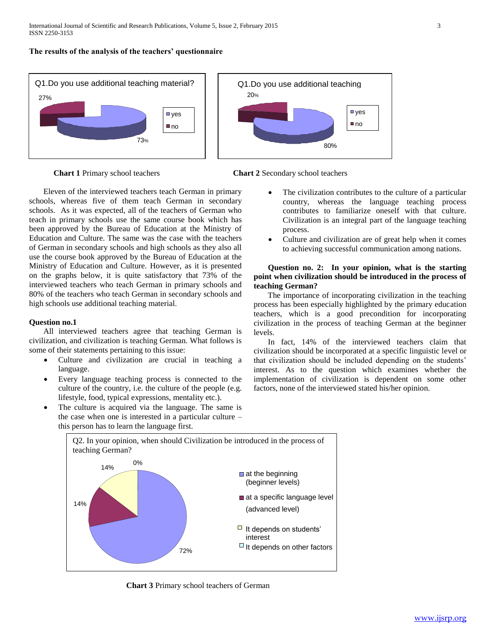**The results of the analysis of the teachers' questionnaire**







 Eleven of the interviewed teachers teach German in primary schools, whereas five of them teach German in secondary schools. As it was expected, all of the teachers of German who teach in primary schools use the same course book which has been approved by the Bureau of Education at the Ministry of Education and Culture. The same was the case with the teachers of German in secondary schools and high schools as they also all use the course book approved by the Bureau of Education at the Ministry of Education and Culture. However, as it is presented on the graphs below, it is quite satisfactory that 73% of the interviewed teachers who teach German in primary schools and 80% of the teachers who teach German in secondary schools and high schools use additional teaching material.

## **Question no.1**

 All interviewed teachers agree that teaching German is civilization, and civilization is teaching German. What follows is some of their statements pertaining to this issue:

- Culture and civilization are crucial in teaching a language.
- Every language teaching process is connected to the culture of the country, i.e. the culture of the people (e.g. lifestyle, food, typical expressions, mentality etc.).
- The culture is acquired via the language. The same is the case when one is interested in a particular culture – this person has to learn the language first.
- The civilization contributes to the culture of a particular country, whereas the language teaching process contributes to familiarize oneself with that culture. Civilization is an integral part of the language teaching process.
- Culture and civilization are of great help when it comes to achieving successful communication among nations.

## **Question no. 2: In your opinion, what is the starting point when civilization should be introduced in the process of teaching German?**

 The importance of incorporating civilization in the teaching process has been especially highlighted by the primary education teachers, which is a good precondition for incorporating civilization in the process of teaching German at the beginner levels.

 In fact, 14% of the interviewed teachers claim that civilization should be incorporated at a specific linguistic level or that civilization should be included depending on the students' interest. As to the question which examines whether the implementation of civilization is dependent on some other factors, none of the interviewed stated his/her opinion.



 **Chart 3** Primary school teachers of German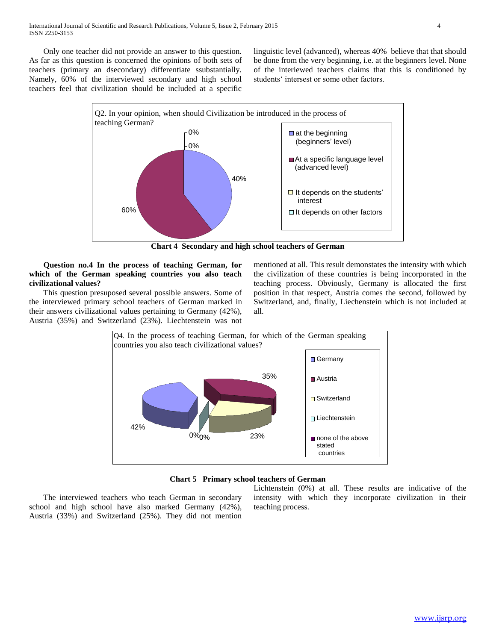Only one teacher did not provide an answer to this question. As far as this question is concerned the opinions of both sets of teachers (primary an dsecondary) differentiate ssubstantially. Namely, 60% of the interviewed secondary and high school teachers feel that civilization should be included at a specific

linguistic level (advanced), whereas 40% believe that that should be done from the very beginning, i.e. at the beginners level. None of the interiewed teachers claims that this is conditioned by students' intersest or some other factors.



**Chart 4 Secondary and high school teachers of German**

 **Question no.4 In the process of teaching German, for which of the German speaking countries you also teach civilizational values?** 

 This question presuposed several possible answers. Some of the interviewed primary school teachers of German marked in their answers civilizational values pertaining to Germany (42%), Austria (35%) and Switzerland (23%). Liechtenstein was not

mentioned at all. This result demonstates the intensity with which the civilization of these countries is being incorporated in the teaching process. Obviously, Germany is allocated the first position in that respect, Austria comes the second, followed by Switzerland, and, finally, Liechenstein which is not included at all.



**Chart 5 Primary school teachers of German**

 The interviewed teachers who teach German in secondary school and high school have also marked Germany (42%), Austria (33%) and Switzerland (25%). They did not mention

Lichtenstein (0%) at all. These results are indicative of the intensity with which they incorporate civilization in their teaching process.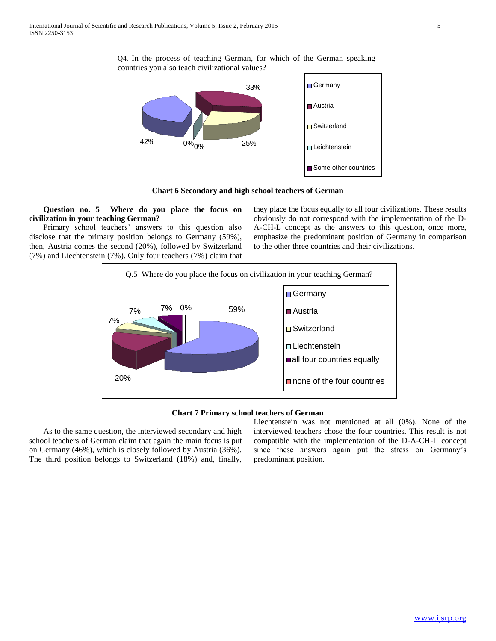

**Chart 6 Secondary and high school teachers of German**

 **Question no. 5 Where do you place the focus on civilization in your teaching German?**

 Primary school teachers' answers to this question also disclose that the primary position belongs to Germany (59%), then, Austria comes the second (20%), followed by Switzerland (7%) and Liechtenstein (7%). Only four teachers (7%) claim that

they place the focus equally to all four civilizations. These results obviously do not correspond with the implementation of the D-A-CH-L concept as the answers to this question, once more, emphasize the predominant position of Germany in comparison to the other three countries and their civilizations.



**Chart 7 Primary school teachers of German**

 As to the same question, the interviewed secondary and high school teachers of German claim that again the main focus is put on Germany (46%), which is closely followed by Austria (36%). The third position belongs to Switzerland (18%) and, finally,

Liechtenstein was not mentioned at all (0%). None of the interviewed teachers chose the four countries. This result is not compatible with the implementation of the D-A-CH-L concept since these answers again put the stress on Germany's predominant position.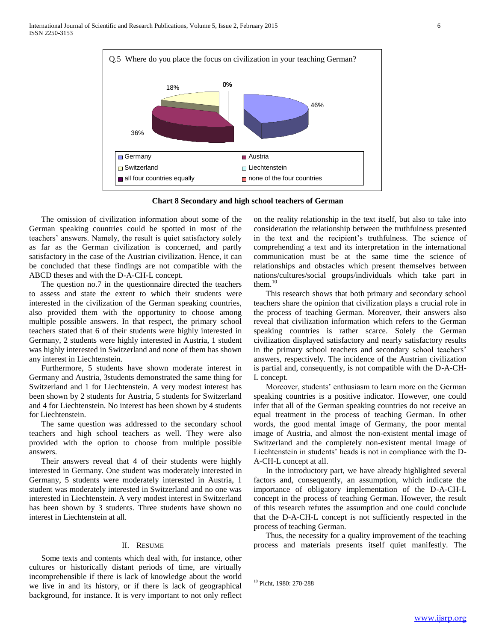

**Chart 8 Secondary and high school teachers of German**

 The omission of civilization information about some of the German speaking countries could be spotted in most of the teachers' answers. Namely, the result is quiet satisfactory solely as far as the German civilization is concerned, and partly satisfactory in the case of the Austrian civilization. Hence, it can be concluded that these findings are not compatible with the ABCD theses and with the D-A-CH-L concept.

 The question no.7 in the questionnaire directed the teachers to assess and state the extent to which their students were interested in the civilization of the German speaking countries, also provided them with the opportunity to choose among multiple possible answers. In that respect, the primary school teachers stated that 6 of their students were highly interested in Germany, 2 students were highly interested in Austria, 1 student was highly interested in Switzerland and none of them has shown any interest in Liechtenstein.

 Furthermore, 5 students have shown moderate interest in Germany and Austria, 3students demonstrated the same thing for Switzerland and 1 for Liechtenstein. A very modest interest has been shown by 2 students for Austria, 5 students for Switzerland and 4 for Liechtenstein. No interest has been shown by 4 students for Liechtenstein.

 The same question was addressed to the secondary school teachers and high school teachers as well. They were also provided with the option to choose from multiple possible answers.

 Their answers reveal that 4 of their students were highly interested in Germany. One student was moderately interested in Germany, 5 students were moderately interested in Austria, 1 student was moderately interested in Switzerland and no one was interested in Liechtenstein. A very modest interest in Switzerland has been shown by 3 students. Three students have shown no interest in Liechtenstein at all.

#### II. RESUME

 Some texts and contents which deal with, for instance, other cultures or historically distant periods of time, are virtually incomprehensible if there is lack of knowledge about the world we live in and its history, or if there is lack of geographical background, for instance. It is very important to not only reflect

on the reality relationship in the text itself, but also to take into consideration the relationship between the truthfulness presented in the text and the recipient's truthfulness. The science of comprehending a text and its interpretation in the international communication must be at the same time the science of relationships and obstacles which present themselves between nations/cultures/social groups/individuals which take part in them. $10$ 

 This research shows that both primary and secondary school teachers share the opinion that civilization plays a crucial role in the process of teaching German. Moreover, their answers also reveal that civilization information which refers to the German speaking countries is rather scarce. Solely the German civilization displayed satisfactory and nearly satisfactory results in the primary school teachers and secondary school teachers' answers, respectively. The incidence of the Austrian civilization is partial and, consequently, is not compatible with the D-A-CH-L concept.

 Moreover, students' enthusiasm to learn more on the German speaking countries is a positive indicator. However, one could infer that all of the German speaking countries do not receive an equal treatment in the process of teaching German. In other words, the good mental image of Germany, the poor mental image of Austria, and almost the non-existent mental image of Switzerland and the completely non-existent mental image of Liechtenstein in students' heads is not in compliance with the D-A-CH-L concept at all.

 In the introductory part, we have already highlighted several factors and, consequently, an assumption, which indicate the importance of obligatory implementation of the D-A-CH-L concept in the process of teaching German. However, the result of this research refutes the assumption and one could conclude that the D-A-CH-L concept is not sufficiently respected in the process of teaching German.

 Thus, the necessity for a quality improvement of the teaching process and materials presents itself quiet manifestly. The

 $\overline{a}$ 

<sup>10</sup> Picht, 1980: 270-288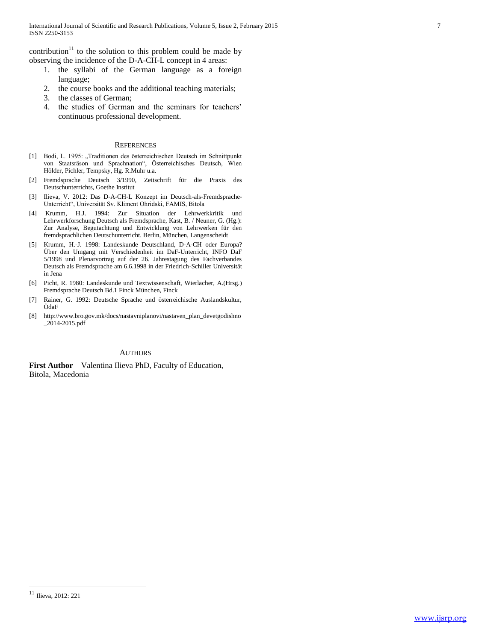contribution<sup>11</sup> to the solution to this problem could be made by observing the incidence of the D-A-CH-L concept in 4 areas:

- 1. the syllabi of the German language as a foreign language;
- 2. the course books and the additional teaching materials;
- 3. the classes of German;
- 4. the studies of German and the seminars for teachers' continuous professional development.

#### **REFERENCES**

- [1] Bodi, L. 1995: "Traditionen des österreichischen Deutsch im Schnittpunkt von Staatsräson und Sprachnation", Österreichisches Deutsch, Wien Hölder, Pichler, Tempsky, Hg. R.Muhr u.a.
- [2] Fremdsprache Deutsch 3/1990, Zeitschrift für die Praxis des Deutschunterrichts, Goethe Institut
- [3] Ilieva, V. 2012: Das D-A-CH-L Konzept im Deutsch-als-Fremdsprache-Unterricht", Universität Sv. Kliment Ohridski, FAMIS, Bitola
- [4] Krumm, H.J. 1994: Zur Situation der Lehrwerkkritik und Lehrwerkforschung Deutsch als Fremdsprache, Kast, B. / Neuner, G. (Hg.): Zur Analyse, Begutachtung und Entwicklung von Lehrwerken für den fremdsprachlichen Deutschunterricht. Berlin, München, Langenscheidt
- [5] Krumm, H.-J. 1998: Landeskunde Deutschland, D-A-CH oder Europa? Über den Umgang mit Verschiedenheit im DaF-Unterricht, INFO DaF 5/1998 und Plenarvortrag auf der 26. Jahrestagung des Fachverbandes Deutsch als Fremdsprache am 6.6.1998 in der Friedrich-Schiller Universität in Jena
- [6] Picht, R. 1980: Landeskunde und Textwissenschaft, Wierlacher, A.(Hrsg.) Fremdsprache Deutsch Bd.1 Finck München, Finck
- [7] Rainer, G. 1992: Deutsche Sprache und österreichische Auslandskultur, ÖdaF
- [8] http://www.bro.gov.mk/docs/nastavniplanovi/nastaven\_plan\_devetgodishno  $-2014 - 2015$ .pdf

### AUTHORS

**First Author** – Valentina Ilieva PhD, Faculty of Education, Bitola, Macedonia